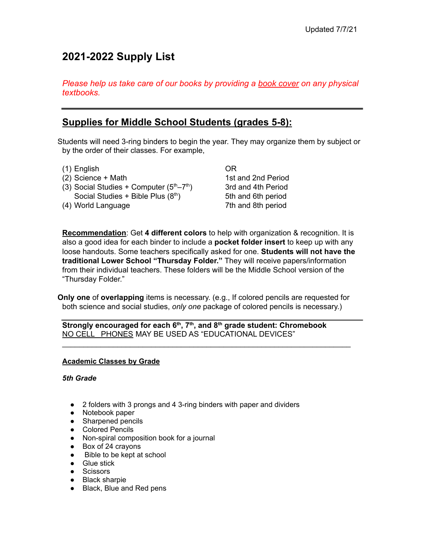# **2021-2022 Supply List**

*Please help us take care of our books by providing a book cover on any physical textbooks.*

# **Supplies for Middle School Students (grades 5-8):**

Students will need 3-ring binders to begin the year. They may organize them by subject or by the order of their classes. For example,

- (1) English
- (2) Science + Math
- (3) Social Studies + Computer  $(5<sup>th</sup>-7<sup>th</sup>)$ Social Studies + Bible Plus  $(8<sup>th</sup>)$
- (4) World Language

OR 1st and 2nd Period 3rd and 4th Period 5th and 6th period 7th and 8th period

**Recommendation**: Get **4 different colors** to help with organization & recognition. It is also a good idea for each binder to include a **pocket folder insert** to keep up with any loose handouts. Some teachers specifically asked for one. **Students will not have the traditional Lower School "Thursday Folder."** They will receive papers/information from their individual teachers. These folders will be the Middle School version of the "Thursday Folder."

**Only one** of **overlapping** items is necessary. (e.g., If colored pencils are requested for both science and social studies, *only one* package of colored pencils is necessary.)

\_\_\_\_\_\_\_\_\_\_\_\_\_\_\_\_\_\_\_\_\_\_\_\_\_\_\_\_\_\_\_\_\_\_\_\_\_\_\_\_\_\_\_\_\_\_\_\_\_\_\_\_\_\_\_\_\_\_\_\_\_\_\_\_\_\_\_\_

**Strongly encouraged for each 6 th , 7 th , and 8 th grade student: Chromebook** NO CELL PHONES MAY BE USED AS "EDUCATIONAL DEVICES"

# **Academic Classes by Grade**

*5th Grade*

- 2 folders with 3 prongs and 4 3-ring binders with paper and dividers
- Notebook paper
- Sharpened pencils
- Colored Pencils
- Non-spiral composition book for a journal
- Box of 24 crayons
- Bible to be kept at school
- Glue stick
- Scissors
- Black sharpie
- Black, Blue and Red pens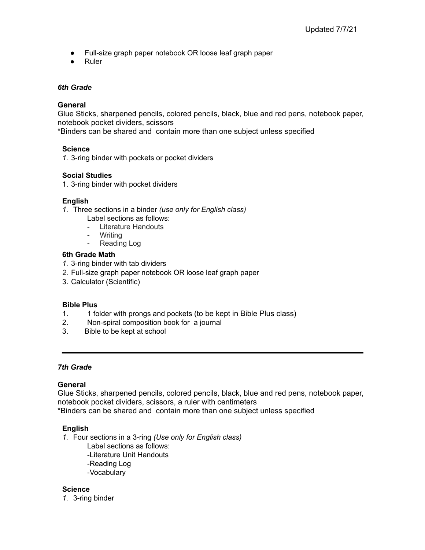- Full-size graph paper notebook OR loose leaf graph paper
- **Ruler**

# *6th Grade*

# **General**

Glue Sticks, sharpened pencils, colored pencils, black, blue and red pens, notebook paper, notebook pocket dividers, scissors

\*Binders can be shared and contain more than one subject unless specified

# **Science**

*1.* 3-ring binder with pockets or pocket dividers

#### **Social Studies**

1. 3-ring binder with pocket dividers

# **English**

- *1.* Three sections in a binder *(use only for English class)*
	- Label sections as follows:
	- Literature Handouts
	- **Writing**
	- Reading Log

#### **6th Grade Math**

- *1.* 3-ring binder with tab dividers
- *2.* Full-size graph paper notebook OR loose leaf graph paper
- 3. Calculator (Scientific)

#### **Bible Plus**

- 1. 1 folder with prongs and pockets (to be kept in Bible Plus class)
- 2. Non-spiral composition book for a journal
- 3. Bible to be kept at school

#### *7th Grade*

#### **General**

Glue Sticks, sharpened pencils, colored pencils, black, blue and red pens, notebook paper, notebook pocket dividers, scissors, a ruler with centimeters \*Binders can be shared and contain more than one subject unless specified

#### **English**

*1.* Four sections in a 3-ring *(Use only for English class)*

Label sections as follows: -Literature Unit Handouts -Reading Log -Vocabulary

# **Science**

*1.* 3-ring binder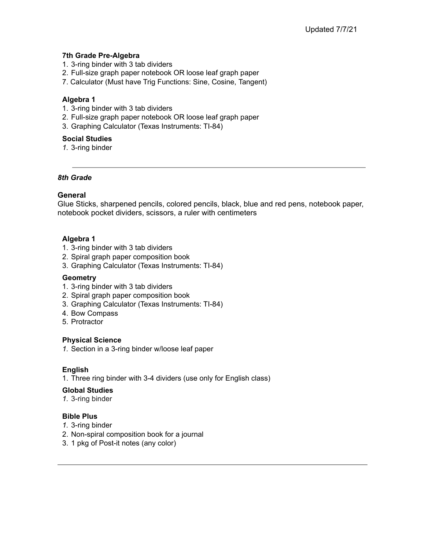# **7th Grade Pre-Algebra**

- 1. 3-ring binder with 3 tab dividers
- 2. Full-size graph paper notebook OR loose leaf graph paper
- 7. Calculator (Must have Trig Functions: Sine, Cosine, Tangent)

# **Algebra 1**

- 1. 3-ring binder with 3 tab dividers
- 2. Full-size graph paper notebook OR loose leaf graph paper
- 3. Graphing Calculator (Texas Instruments: TI-84)

# **Social Studies**

*1.* 3-ring binder

# *8th Grade*

# **General**

Glue Sticks, sharpened pencils, colored pencils, black, blue and red pens, notebook paper, notebook pocket dividers, scissors, a ruler with centimeters

# **Algebra 1**

- 1. 3-ring binder with 3 tab dividers
- 2. Spiral graph paper composition book
- 3. Graphing Calculator (Texas Instruments: TI-84)

#### **Geometry**

- 1. 3-ring binder with 3 tab dividers
- 2. Spiral graph paper composition book
- 3. Graphing Calculator (Texas Instruments: TI-84)
- 4. Bow Compass
- 5. Protractor

#### **Physical Science**

*1.* Section in a 3-ring binder w/loose leaf paper

#### **English**

1. Three ring binder with 3-4 dividers (use only for English class)

#### **Global Studies**

*1.* 3-ring binder

# **Bible Plus**

- *1.* 3-ring binder
- 2. Non-spiral composition book for a journal
- 3. 1 pkg of Post-it notes (any color)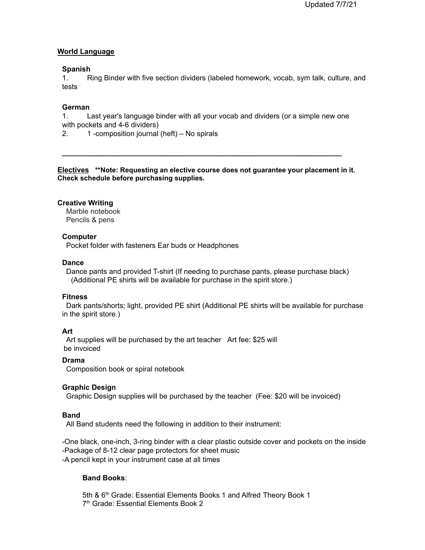#### **World Language**

#### **Spanish**

1. Ring Binder with five section dividers (labeled homework, vocab, sym talk, culture, and tests

#### **German**

1. Last year's language binder with all your vocab and dividers (or a simple new one with pockets and 4-6 dividers)

2. 1 -composition journal (heft) – No spirals

**Electives \*\*Note: Requesting an elective course does not guarantee your placement in it. Check schedule before purchasing supplies.**

**\_\_\_\_\_\_\_\_\_\_\_\_\_\_\_\_\_\_\_\_\_\_\_\_\_\_\_\_\_\_\_\_\_\_\_\_\_\_\_\_\_\_\_\_\_\_\_\_\_\_\_\_\_\_\_\_\_\_\_\_\_\_\_\_\_\_\_\_\_**

#### **Creative Writing**

Marble notebook Pencils & pens

#### **Computer**

Pocket folder with fasteners Ear buds or Headphones

#### **Dance**

Dance pants and provided T-shirt (If needing to purchase pants, please purchase black) (Additional PE shirts will be available for purchase in the spirit store.)

#### **Fitness**

Dark pants/shorts; light, provided PE shirt (Additional PE shirts will be available for purchase in the spirit store.)

#### **Art**

Art supplies will be purchased by the art teacher Art fee: \$25 will be invoiced

#### **Drama**

Composition book or spiral notebook

#### **Graphic Design**

Graphic Design supplies will be purchased by the teacher (Fee: \$20 will be invoiced)

#### **Band**

All Band students need the following in addition to their instrument:

-One black, one-inch, 3-ring binder with a clear plastic outside cover and pockets on the inside -Package of 8-12 clear page protectors for sheet music -A pencil kept in your instrument case at all times

#### **Band Books**:

5th & 6<sup>th</sup> Grade: Essential Elements Books 1 and Alfred Theory Book 1 7<sup>th</sup> Grade: Essential Elements Book 2